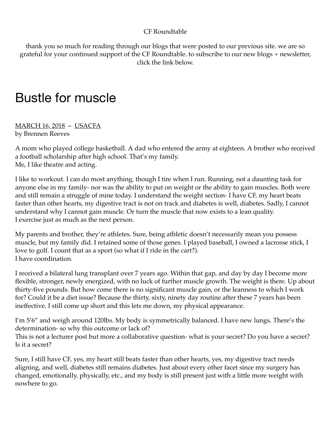## CF Roundtable

thank you so much for reading through our blogs that were posted to our previous site. we are so grateful for your continued support of the CF Roundtable. to subscribe to our new blogs + newsletter, click the link below.

## Bustle for muscle

MARCH 16, 2018 ~ USACFA by Brennen Reeves

A mom who played college basketball. A dad who entered the army at eighteen. A brother who received a football scholarship after high school. That's my family. Me, I like theatre and acting.

I like to workout. I can do most anything, though I tire when I run. Running, not a daunting task for anyone else in my family- nor was the ability to put on weight or the ability to gain muscles. Both were and still remain a struggle of mine today. I understand the weight section- I have CF, my heart beats faster than other hearts, my digestive tract is not on track and diabetes is well, diabetes. Sadly, I cannot understand why I cannot gain muscle. Or turn the muscle that now exists to a lean quality. I exercise just as much as the next person.

My parents and brother, they're athletes. Sure, being athletic doesn't necessarily mean you possess muscle, but my family did. I retained some of those genes. I played baseball, I owned a lacrosse stick, I love to golf. I count that as a sport (so what if I ride in the cart?). I have coordination.

I received a bilateral lung transplant over 7 years ago. Within that gap, and day by day I become more flexible, stronger, newly energized, with no luck of further muscle growth. The weight is there. Up about thirty-five pounds. But how come there is no significant muscle gain, or the leanness to which I work for? Could it be a diet issue? Because the thirty, sixty, ninety day routine after these 7 years has been ineffective. I still come up short and this lets me down, my physical appearance.

I'm 5'6" and weigh around 120lbs. My body is symmetrically balanced. I have new lungs. There's the determination- so why this outcome or lack of?

This is not a lecturer post but more a collaborative question- what is your secret? Do you have a secret? Is it a secret?

Sure, I still have CF, yes, my heart still beats faster than other hearts, yes, my digestive tract needs aligning, and well, diabetes still remains diabetes. Just about every other facet since my surgery has changed, emotionally, physically, etc., and my body is still present just with a little more weight with nowhere to go.